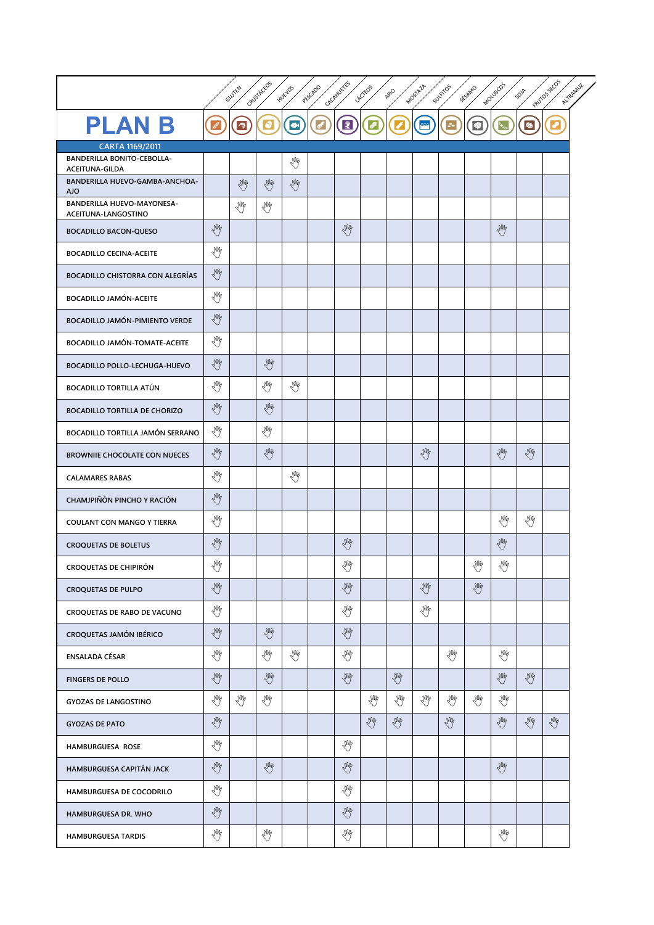|                                                     |          | GLUTEN    | Caust Accos | HUEVOS    | PFEFERDO                   | CACAILLETES        | LACTEOS        | APIO | MOSTAZA | SULFITOS                | SESAMO          | Mouscos | SOVA | PRUTOS SECOS<br>ALTRAMUZ |
|-----------------------------------------------------|----------|-----------|-------------|-----------|----------------------------|--------------------|----------------|------|---------|-------------------------|-----------------|---------|------|--------------------------|
| <b>PLANB</b>                                        |          | $\bullet$ |             | $\bullet$ | $\boldsymbol{\mathscr{E}}$ | $\bar{\mathbf{z}}$ |                |      |         | $\mathcal{Z}_{\bullet}$ | $\blacklozenge$ |         |      | ஂ                        |
| CARTA 1169/2011                                     |          |           |             |           |                            |                    |                |      |         |                         |                 |         |      |                          |
| <b>BANDERILLA BONITO-CEBOLLA-</b><br>ACEITUNA-GILDA |          |           |             | ₩         |                            |                    |                |      |         |                         |                 |         |      |                          |
| BANDERILLA HUEVO-GAMBA-ANCHOA-<br><b>AJO</b>        |          | LW        | Y           | Y         |                            |                    |                |      |         |                         |                 |         |      |                          |
| BANDERILLA HUEVO-MAYONESA-<br>ACEITUNA-LANGOSTINO   |          | √₩        | M           |           |                            |                    |                |      |         |                         |                 |         |      |                          |
| <b>BOCADILLO BACON-QUESO</b>                        | M        |           |             |           |                            | Y                  |                |      |         |                         |                 | LW      |      |                          |
| <b>BOCADILLO CECINA-ACEITE</b>                      | L        |           |             |           |                            |                    |                |      |         |                         |                 |         |      |                          |
| BOCADILLO CHISTORRA CON ALEGRÍAS                    | Y        |           |             |           |                            |                    |                |      |         |                         |                 |         |      |                          |
| <b>BOCADILLO JAMÓN-ACEITE</b>                       | ₩        |           |             |           |                            |                    |                |      |         |                         |                 |         |      |                          |
| BOCADILLO JAMÓN-PIMIENTO VERDE                      | LW       |           |             |           |                            |                    |                |      |         |                         |                 |         |      |                          |
| <b>BOCADILLO JAMÓN-TOMATE-ACEITE</b>                | ₩        |           |             |           |                            |                    |                |      |         |                         |                 |         |      |                          |
| BOCADILLO POLLO-LECHUGA-HUEVO                       | LW       |           | Y           |           |                            |                    |                |      |         |                         |                 |         |      |                          |
| <b>BOCADILLO TORTILLA ATÚN</b>                      | ₩        |           | ₩           | ₩         |                            |                    |                |      |         |                         |                 |         |      |                          |
| <b>BOCADILLO TORTILLA DE CHORIZO</b>                | LW       |           | LW          |           |                            |                    |                |      |         |                         |                 |         |      |                          |
| BOCADILLO TORTILLA JAMÓN SERRANO                    | L        |           | M           |           |                            |                    |                |      |         |                         |                 |         |      |                          |
| <b>BROWNIIE CHOCOLATE CON NUECES</b>                | M        |           | LW          |           |                            |                    |                |      | M       |                         |                 | LW      | Y    |                          |
| <b>CALAMARES RABAS</b>                              | ₩        |           |             | LW        |                            |                    |                |      |         |                         |                 |         |      |                          |
| CHAMJPIÑÓN PINCHO Y RACIÓN                          | Y        |           |             |           |                            |                    |                |      |         |                         |                 |         |      |                          |
| COULANT CON MANGO Y TIERRA                          | ₩        |           |             |           |                            |                    |                |      |         |                         |                 | ₹M      | ₩    |                          |
| <b>CROQUETAS DE BOLETUS</b>                         | LW       |           |             |           |                            | LW                 |                |      |         |                         |                 | L       |      |                          |
| <b>CROQUETAS DE CHIPIRÓN</b>                        | .Wh<br>V |           |             |           |                            | NW<br>V            |                |      |         |                         | NW<br>V         | NW<br>V |      |                          |
| <b>CROQUETAS DE PULPO</b>                           | LW       |           |             |           |                            | M                  |                |      | LW      |                         | LW              |         |      |                          |
| CROQUETAS DE RABO DE VACUNO                         | ₩        |           |             |           |                            | ₩                  |                |      | ₩       |                         |                 |         |      |                          |
| <b>CROQUETAS JAMÓN IBÉRICO</b>                      | LW       |           | LW          |           |                            | LW                 |                |      |         |                         |                 |         |      |                          |
| ENSALADA CÉSAR                                      | √₩       |           | M           | M         |                            | ₩                  |                |      |         | ₩                       |                 | M       |      |                          |
| <b>FINGERS DE POLLO</b>                             | LW       |           | LW          |           |                            | LW                 |                | LW   |         |                         |                 | LW      | Lin  |                          |
| <b>GYOZAS DE LANGOSTINO</b>                         | ₩        | M         | M           |           |                            |                    | ₩              | Y    | M       | ₩                       | N               | M       |      |                          |
| <b>GYOZAS DE PATO</b>                               | LW       |           |             |           |                            |                    | $\mathbb{R}^N$ | LW   |         | $\mathbb{R}^N$          |                 | LW      | LW   | LW                       |
| HAMBURGUESA ROSE                                    | L        |           |             |           |                            | ₩                  |                |      |         |                         |                 |         |      |                          |
| HAMBURGUESA CAPITÁN JACK                            | LW       |           | LW          |           |                            | LW                 |                |      |         |                         |                 | LW      |      |                          |
| HAMBURGUESA DE COCODRILO                            | ₩        |           |             |           |                            | Y                  |                |      |         |                         |                 |         |      |                          |
| HAMBURGUESA DR. WHO                                 | LW       |           |             |           |                            | LW                 |                |      |         |                         |                 |         |      |                          |
| HAMBURGUESA TARDIS                                  | ₩        |           | ₩           |           |                            | ₩                  |                |      |         |                         |                 | ₩       |      |                          |